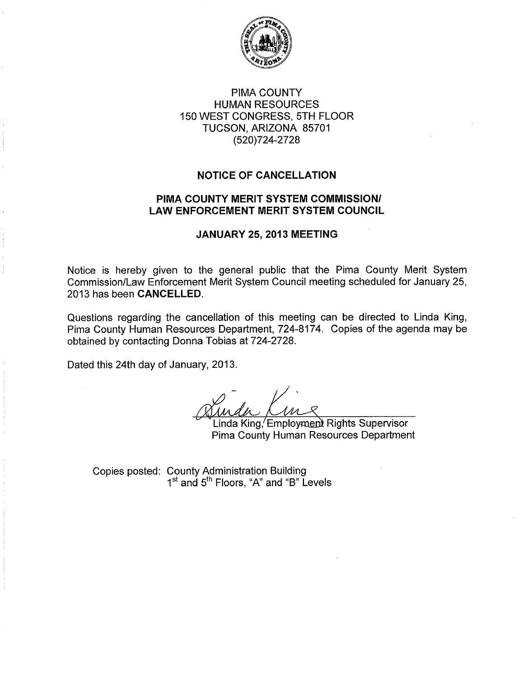

## PIMA COUNTY **HUMAN RESOURCES** 150 WEST CONGRESS, 5TH FLOOR TUCSON, ARIZONA 85701 (520)724-2728

### **NOTICE OF CANCELLATION**

### PIMA COUNTY MERIT SYSTEM COMMISSION/ **LAW ENFORCEMENT MERIT SYSTEM COUNCIL**

### JANUARY 25, 2013 MEETING

Notice is hereby given to the general public that the Pima County Merit System Commission/Law Enforcement Merit System Council meeting scheduled for January 25, 2013 has been CANCELLED.

Questions regarding the cancellation of this meeting can be directed to Linda King, Pima County Human Resources Department, 724-8174. Copies of the agenda may be obtained by contacting Donna Tobias at 724-2728.

Dated this 24th day of January, 2013.

Linda King/Employment Rights Supervisor Pima County Human Resources Department

Copies posted: County Administration Building<br>1<sup>st</sup> and 5<sup>th</sup> Floors, "A" and "B" Levels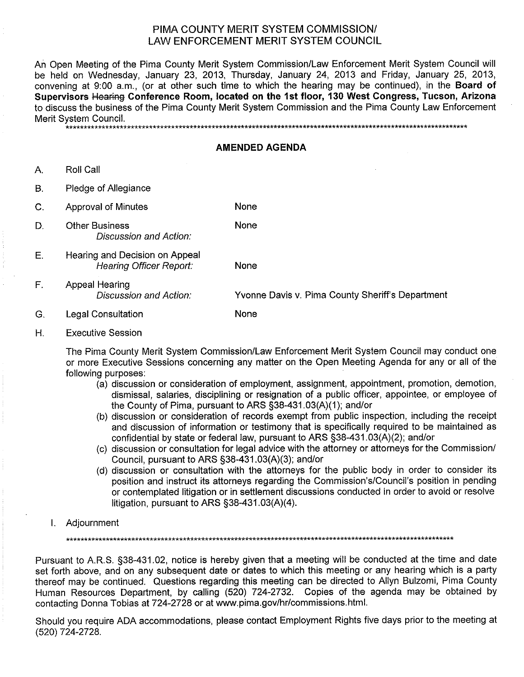### PIMA COUNTY MERIT SYSTEM COMMISSION/ **I AW ENFORCEMENT MERIT SYSTEM COUNCIL**

An Open Meeting of the Pima County Merit System Commission/Law Enforcement Merit System Council will be held on Wednesday, January 23, 2013, Thursday, January 24, 2013 and Friday, January 25, 2013, convening at 9:00 a.m., (or at other such time to which the hearing may be continued), in the Board of Supervisors Hearing Conference Room, located on the 1st floor, 130 West Congress, Tucson, Arizona to discuss the business of the Pima County Merit System Commission and the Pima County Law Enforcement Merit System Council.

\*\*\*\*\*\*\*\*\*\*\*\*\*\*\*\*\*\*\*

#### **AMENDED AGENDA**

A. Roll Call

B. Pledge of Allegiance

- C. **Approval of Minutes** None
- **Other Business** D. **Discussion and Action:**
- Е. Hearing and Decision on Appeal **Hearing Officer Report:**

None

None

- $F_{\perp}$ Appeal Hearing Discussion and Action: Yvonne Davis v. Pima County Sheriff's Department
- G. **Legal Consultation** None
- Η. **Executive Session**

The Pima County Merit System Commission/Law Enforcement Merit System Council may conduct one or more Executive Sessions concerning any matter on the Open Meeting Agenda for any or all of the following purposes:

- (a) discussion or consideration of employment, assignment, appointment, promotion, demotion, dismissal, salaries, disciplining or resignation of a public officer, appointee, or employee of the County of Pima, pursuant to ARS §38-431.03(A)(1); and/or
- (b) discussion or consideration of records exempt from public inspection, including the receipt and discussion of information or testimony that is specifically required to be maintained as confidential by state or federal law, pursuant to ARS §38-431.03(A)(2); and/or
- (c) discussion or consultation for legal advice with the attorney or attorneys for the Commission/ Council, pursuant to ARS §38-431.03(A)(3); and/or
- (d) discussion or consultation with the attorneys for the public body in order to consider its position and instruct its attorneys regarding the Commission's/Council's position in pending or contemplated litigation or in settlement discussions conducted in order to avoid or resolve litigation, pursuant to ARS  $\S$ 38-431.03(A)(4).
- I. Adjournment

Pursuant to A.R.S. §38-431.02, notice is hereby given that a meeting will be conducted at the time and date set forth above, and on any subsequent date or dates to which this meeting or any hearing which is a party thereof may be continued. Questions regarding this meeting can be directed to Allyn Bulzomi, Pima County Human Resources Department, by calling (520) 724-2732. Copies of the agenda may be obtained by contacting Donna Tobias at 724-2728 or at www.pima.gov/hr/commissions.html.

Should you require ADA accommodations, please contact Employment Rights five days prior to the meeting at (520) 724-2728.